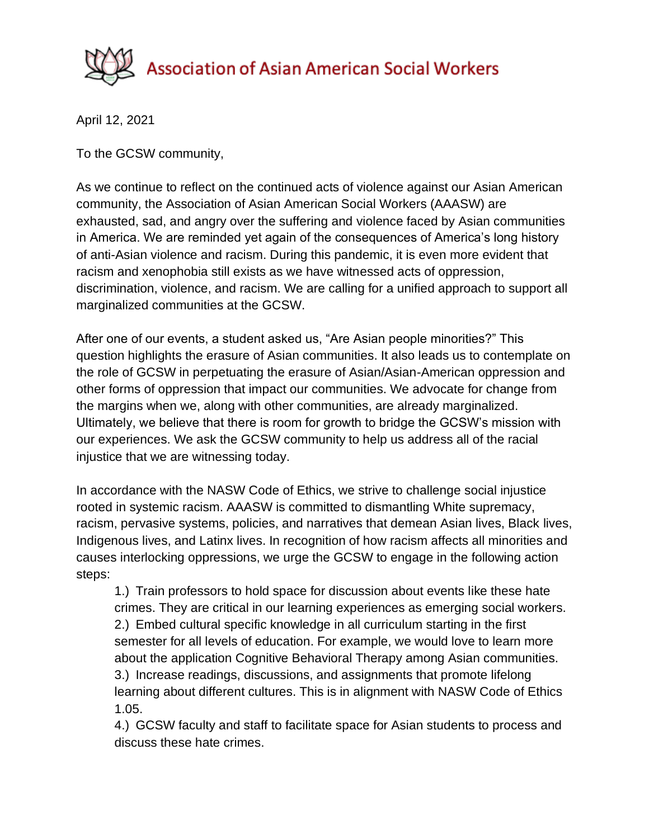

April 12, 2021

To the GCSW community,

As we continue to reflect on the continued acts of violence against our Asian American community, the Association of Asian American Social Workers (AAASW) are exhausted, sad, and angry over the suffering and violence faced by Asian communities in America. We are reminded yet again of the consequences of America's long history of anti-Asian violence and racism. During this pandemic, it is even more evident that racism and xenophobia still exists as we have witnessed acts of oppression, discrimination, violence, and racism. We are calling for a unified approach to support all marginalized communities at the GCSW.

After one of our events, a student asked us, "Are Asian people minorities?" This question highlights the erasure of Asian communities. It also leads us to contemplate on the role of GCSW in perpetuating the erasure of Asian/Asian-American oppression and other forms of oppression that impact our communities. We advocate for change from the margins when we, along with other communities, are already marginalized. Ultimately, we believe that there is room for growth to bridge the GCSW's mission with our experiences. We ask the GCSW community to help us address all of the racial injustice that we are witnessing today.

In accordance with the NASW Code of Ethics, we strive to challenge social injustice rooted in systemic racism. AAASW is committed to dismantling White supremacy, racism, pervasive systems, policies, and narratives that demean Asian lives, Black lives, Indigenous lives, and Latinx lives. In recognition of how racism affects all minorities and causes interlocking oppressions, we urge the GCSW to engage in the following action steps:

1.) Train professors to hold space for discussion about events like these hate crimes. They are critical in our learning experiences as emerging social workers. 2.) Embed cultural specific knowledge in all curriculum starting in the first semester for all levels of education. For example, we would love to learn more about the application Cognitive Behavioral Therapy among Asian communities. 3.) Increase readings, discussions, and assignments that promote lifelong learning about different cultures. This is in alignment with NASW Code of Ethics 1.05.

4.) GCSW faculty and staff to facilitate space for Asian students to process and discuss these hate crimes.